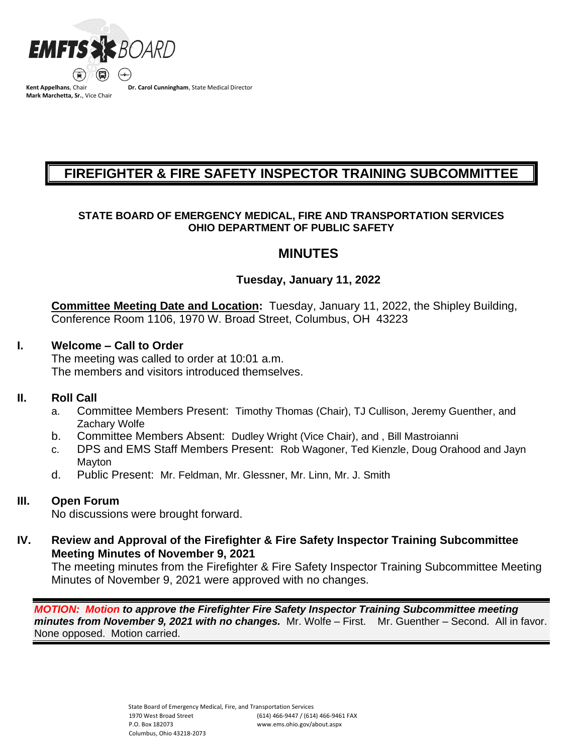

**Kent Appelhans**, Chair **Mark Marchetta, Sr.**, Vice Chair **Dr. Carol Cunningham**, State Medical Director

# **FIREFIGHTER & FIRE SAFETY INSPECTOR TRAINING SUBCOMMITTEE**

## **STATE BOARD OF EMERGENCY MEDICAL, FIRE AND TRANSPORTATION SERVICES OHIO DEPARTMENT OF PUBLIC SAFETY**

# **MINUTES**

# **Tuesday, January 11, 2022**

**Committee Meeting Date and Location:** Tuesday, January 11, 2022, the Shipley Building, Conference Room 1106, 1970 W. Broad Street, Columbus, OH 43223

## **I. Welcome – Call to Order**

The meeting was called to order at 10:01 a.m. The members and visitors introduced themselves.

## **II. Roll Call**

- a. Committee Members Present: Timothy Thomas (Chair), TJ Cullison, Jeremy Guenther, and Zachary Wolfe
- b. Committee Members Absent: Dudley Wright (Vice Chair), and , Bill Mastroianni
- c. DPS and EMS Staff Members Present: Rob Wagoner, Ted Kienzle, Doug Orahood and Jayn **Mayton**
- d. Public Present: Mr. Feldman, Mr. Glessner, Mr. Linn, Mr. J. Smith

# **III. Open Forum**

No discussions were brought forward.

**IV. Review and Approval of the Firefighter & Fire Safety Inspector Training Subcommittee Meeting Minutes of November 9, 2021**

The meeting minutes from the Firefighter & Fire Safety Inspector Training Subcommittee Meeting Minutes of November 9, 2021 were approved with no changes.

*MOTION: Motion to approve the Firefighter Fire Safety Inspector Training Subcommittee meeting minutes from November 9, 2021 with no changes.* Mr. Wolfe – First. Mr. Guenther – Second. All in favor. None opposed. Motion carried.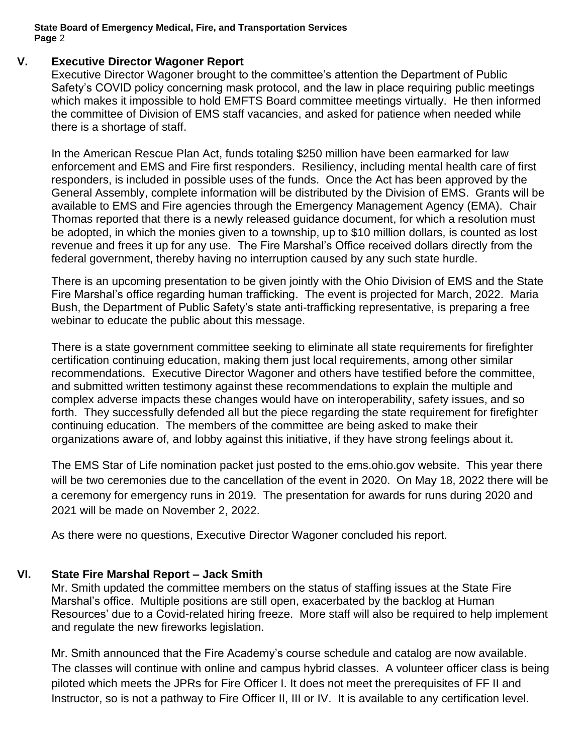## **V. Executive Director Wagoner Report**

Executive Director Wagoner brought to the committee's attention the Department of Public Safety's COVID policy concerning mask protocol, and the law in place requiring public meetings which makes it impossible to hold EMFTS Board committee meetings virtually. He then informed the committee of Division of EMS staff vacancies, and asked for patience when needed while there is a shortage of staff.

In the American Rescue Plan Act, funds totaling \$250 million have been earmarked for law enforcement and EMS and Fire first responders. Resiliency, including mental health care of first responders, is included in possible uses of the funds. Once the Act has been approved by the General Assembly, complete information will be distributed by the Division of EMS. Grants will be available to EMS and Fire agencies through the Emergency Management Agency (EMA). Chair Thomas reported that there is a newly released guidance document, for which a resolution must be adopted, in which the monies given to a township, up to \$10 million dollars, is counted as lost revenue and frees it up for any use. The Fire Marshal's Office received dollars directly from the federal government, thereby having no interruption caused by any such state hurdle.

There is an upcoming presentation to be given jointly with the Ohio Division of EMS and the State Fire Marshal's office regarding human trafficking. The event is projected for March, 2022. Maria Bush, the Department of Public Safety's state anti-trafficking representative, is preparing a free webinar to educate the public about this message.

There is a state government committee seeking to eliminate all state requirements for firefighter certification continuing education, making them just local requirements, among other similar recommendations. Executive Director Wagoner and others have testified before the committee, and submitted written testimony against these recommendations to explain the multiple and complex adverse impacts these changes would have on interoperability, safety issues, and so forth. They successfully defended all but the piece regarding the state requirement for firefighter continuing education. The members of the committee are being asked to make their organizations aware of, and lobby against this initiative, if they have strong feelings about it.

The EMS Star of Life nomination packet just posted to the ems.ohio.gov website. This year there will be two ceremonies due to the cancellation of the event in 2020. On May 18, 2022 there will be a ceremony for emergency runs in 2019. The presentation for awards for runs during 2020 and 2021 will be made on November 2, 2022.

As there were no questions, Executive Director Wagoner concluded his report.

## **VI. State Fire Marshal Report – Jack Smith**

Mr. Smith updated the committee members on the status of staffing issues at the State Fire Marshal's office. Multiple positions are still open, exacerbated by the backlog at Human Resources' due to a Covid-related hiring freeze. More staff will also be required to help implement and regulate the new fireworks legislation.

Mr. Smith announced that the Fire Academy's course schedule and catalog are now available. The classes will continue with online and campus hybrid classes. A volunteer officer class is being piloted which meets the JPRs for Fire Officer I. It does not meet the prerequisites of FF II and Instructor, so is not a pathway to Fire Officer II, III or IV. It is available to any certification level.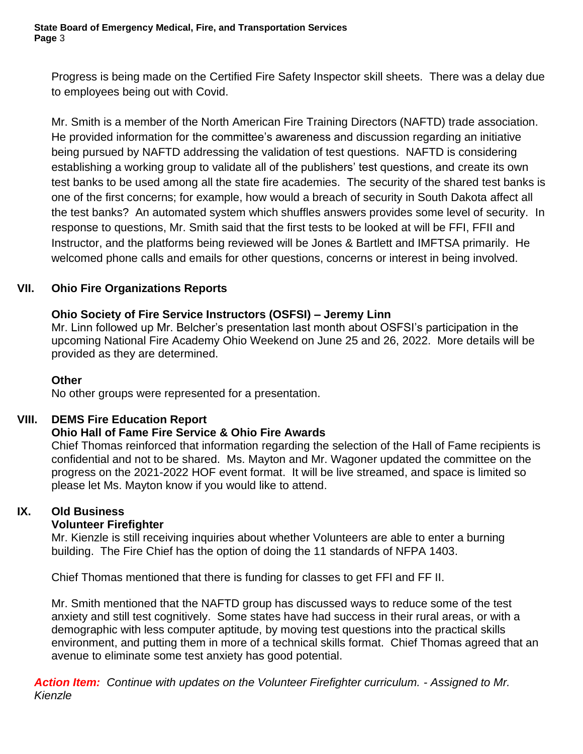Progress is being made on the Certified Fire Safety Inspector skill sheets. There was a delay due to employees being out with Covid.

Mr. Smith is a member of the North American Fire Training Directors (NAFTD) trade association. He provided information for the committee's awareness and discussion regarding an initiative being pursued by NAFTD addressing the validation of test questions. NAFTD is considering establishing a working group to validate all of the publishers' test questions, and create its own test banks to be used among all the state fire academies. The security of the shared test banks is one of the first concerns; for example, how would a breach of security in South Dakota affect all the test banks? An automated system which shuffles answers provides some level of security. In response to questions, Mr. Smith said that the first tests to be looked at will be FFI, FFII and Instructor, and the platforms being reviewed will be Jones & Bartlett and IMFTSA primarily. He welcomed phone calls and emails for other questions, concerns or interest in being involved.

# **VII. Ohio Fire Organizations Reports**

# **Ohio Society of Fire Service Instructors (OSFSI) – Jeremy Linn**

Mr. Linn followed up Mr. Belcher's presentation last month about OSFSI's participation in the upcoming National Fire Academy Ohio Weekend on June 25 and 26, 2022. More details will be provided as they are determined.

## **Other**

No other groups were represented for a presentation.

## **VIII. DEMS Fire Education Report**

## **Ohio Hall of Fame Fire Service & Ohio Fire Awards**

Chief Thomas reinforced that information regarding the selection of the Hall of Fame recipients is confidential and not to be shared. Ms. Mayton and Mr. Wagoner updated the committee on the progress on the 2021-2022 HOF event format. It will be live streamed, and space is limited so please let Ms. Mayton know if you would like to attend.

## **IX. Old Business**

# **Volunteer Firefighter**

Mr. Kienzle is still receiving inquiries about whether Volunteers are able to enter a burning building. The Fire Chief has the option of doing the 11 standards of NFPA 1403.

Chief Thomas mentioned that there is funding for classes to get FFI and FF II.

Mr. Smith mentioned that the NAFTD group has discussed ways to reduce some of the test anxiety and still test cognitively. Some states have had success in their rural areas, or with a demographic with less computer aptitude, by moving test questions into the practical skills environment, and putting them in more of a technical skills format. Chief Thomas agreed that an avenue to eliminate some test anxiety has good potential.

*Action Item: Continue with updates on the Volunteer Firefighter curriculum. - Assigned to Mr. Kienzle*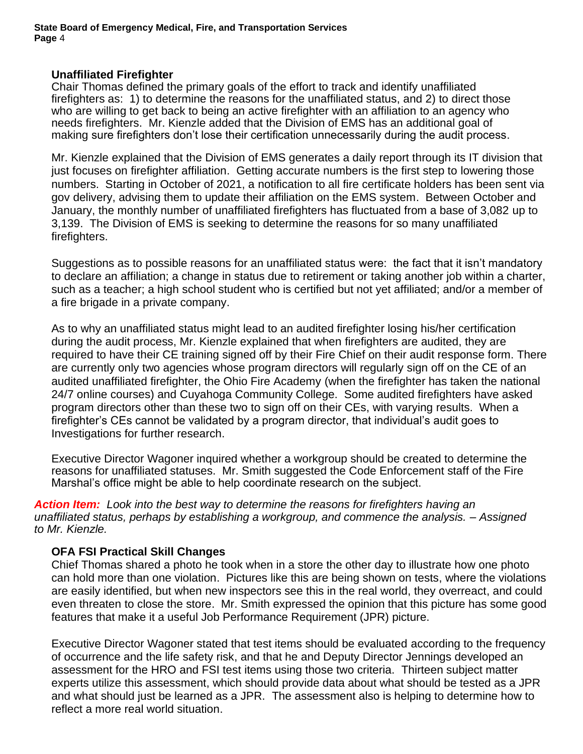#### **Unaffiliated Firefighter**

Chair Thomas defined the primary goals of the effort to track and identify unaffiliated firefighters as: 1) to determine the reasons for the unaffiliated status, and 2) to direct those who are willing to get back to being an active firefighter with an affiliation to an agency who needs firefighters. Mr. Kienzle added that the Division of EMS has an additional goal of making sure firefighters don't lose their certification unnecessarily during the audit process.

Mr. Kienzle explained that the Division of EMS generates a daily report through its IT division that just focuses on firefighter affiliation. Getting accurate numbers is the first step to lowering those numbers. Starting in October of 2021, a notification to all fire certificate holders has been sent via gov delivery, advising them to update their affiliation on the EMS system. Between October and January, the monthly number of unaffiliated firefighters has fluctuated from a base of 3,082 up to 3,139. The Division of EMS is seeking to determine the reasons for so many unaffiliated firefighters.

Suggestions as to possible reasons for an unaffiliated status were: the fact that it isn't mandatory to declare an affiliation; a change in status due to retirement or taking another job within a charter, such as a teacher; a high school student who is certified but not yet affiliated; and/or a member of a fire brigade in a private company.

As to why an unaffiliated status might lead to an audited firefighter losing his/her certification during the audit process, Mr. Kienzle explained that when firefighters are audited, they are required to have their CE training signed off by their Fire Chief on their audit response form. There are currently only two agencies whose program directors will regularly sign off on the CE of an audited unaffiliated firefighter, the Ohio Fire Academy (when the firefighter has taken the national 24/7 online courses) and Cuyahoga Community College. Some audited firefighters have asked program directors other than these two to sign off on their CEs, with varying results. When a firefighter's CEs cannot be validated by a program director, that individual's audit goes to Investigations for further research.

Executive Director Wagoner inquired whether a workgroup should be created to determine the reasons for unaffiliated statuses. Mr. Smith suggested the Code Enforcement staff of the Fire Marshal's office might be able to help coordinate research on the subject.

*Action Item: Look into the best way to determine the reasons for firefighters having an unaffiliated status, perhaps by establishing a workgroup, and commence the analysis. – Assigned to Mr. Kienzle.*

## **OFA FSI Practical Skill Changes**

Chief Thomas shared a photo he took when in a store the other day to illustrate how one photo can hold more than one violation. Pictures like this are being shown on tests, where the violations are easily identified, but when new inspectors see this in the real world, they overreact, and could even threaten to close the store. Mr. Smith expressed the opinion that this picture has some good features that make it a useful Job Performance Requirement (JPR) picture.

Executive Director Wagoner stated that test items should be evaluated according to the frequency of occurrence and the life safety risk, and that he and Deputy Director Jennings developed an assessment for the HRO and FSI test items using those two criteria. Thirteen subject matter experts utilize this assessment, which should provide data about what should be tested as a JPR and what should just be learned as a JPR. The assessment also is helping to determine how to reflect a more real world situation.